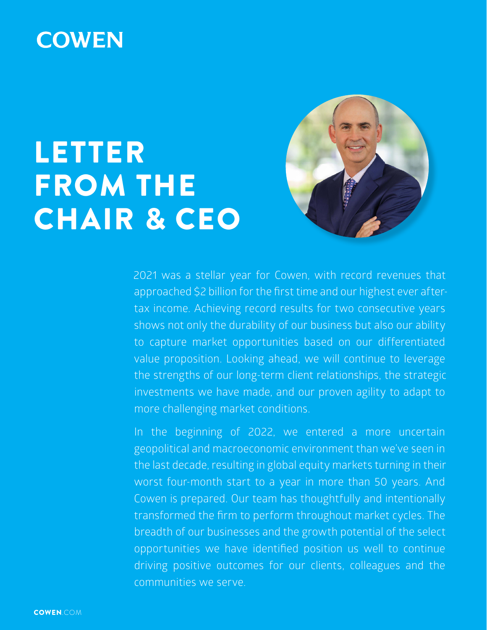# **COWEN**

# LETTER FROM THE CHAIR & CEO



2021 was a stellar year for Cowen, with record revenues that approached \$2 billion for the first time and our highest ever aftertax income. Achieving record results for two consecutive years shows not only the durability of our business but also our ability to capture market opportunities based on our differentiated value proposition. Looking ahead, we will continue to leverage the strengths of our long-term client relationships, the strategic investments we have made, and our proven agility to adapt to more challenging market conditions.

worst four-month start to a year in more than 50 years. And Cowen is prepared. Our team has thoughtfully and intentionally In the beginning of 2022, we entered a more uncertain geopolitical and macroeconomic environment than we've seen in the last decade, resulting in global equity markets turning in their transformed the firm to perform throughout market cycles. The breadth of our businesses and the growth potential of the select opportunities we have identified position us well to continue driving positive outcomes for our clients, colleagues and the communities we serve.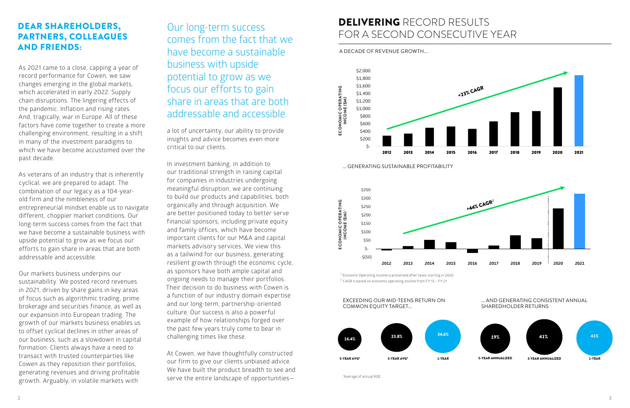As 2021 came to a close, capping a year of record performance for Cowen, we saw changes emerging in the global markets, which accelerated in early 2022. Supply chain disruptions. The lingering effects of the pandemic. Inflation and rising rates. And, tragically, war in Europe. All of these factors have come together to create a more challenging environment, resulting in a shift in many of the investment paradigms to which we have become accustomed over the past decade.

As veterans of an industry that is inherently cyclical, we are prepared to adapt. The combination of our legacy as a 104-yearold firm and the nimbleness of our entrepreneurial mindset enable us to navigate different, choppier market conditions. Our long-term success comes from the fact that we have become a sustainable business with upside potential to grow as we focus our efforts to gain share in areas that are both addressable and accessible.

Our markets business underpins our sustainability. We posted record revenues in 2021, driven by share gains in key areas of focus such as algorithmic trading, prime brokerage and securities finance, as well as our expansion into European trading. The growth of our markets business enables us to offset cyclical declines in other areas of our business, such as a slowdown in capital formation. Clients always have a need to transact with trusted counterparties like Cowen as they reposition their portfolios, generating revenues and driving profitable growth. Arguably, in volatile markets with

#### ... AND GENERATING CONSISTENT ANNUAL SHAREDHOLDER RETURNS

a lot of uncertainty, our ability to provide insights and advice becomes even more critical to our clients.

In investment banking, in addition to our traditional strength in raising capital for companies in industries undergoing meaningful disruption, we are continuing to build our products and capabilities, both organically and through acquisition. We are better positioned today to better serve financial sponsors, including private equity and family offices, which have become important clients for our M&A and capital markets advisory services. We view this as a tailwind for our business, generating resilient growth through the economic cycle, as sponsors have both ample capital and ongoing needs to manage their portfolios. Their decision to do business with Cowen is a function of our industry domain expertise and our long-term, partnership-oriented culture. Our success is also a powerful example of how relationships forged over the past few years truly come to bear in challenging times like these.

At Cowen, we have thoughtfully constructed our firm to give our clients unbiased advice. We have built the product breadth to see and serve the entire landscape of opportunities—

Our long-term success comes from the fact that we AND FRIENDS: have become a sustainable A DECADE OF REVENUE GROWTH... business with upside potential to grow as we focus our efforts to gain share in areas that are both addressable and accessible.

## DEAR SHAREHOLDERS, PARTNERS, COLLEAGUES







## DELIVERING RECORD RESULTS FOR A SECOND CONSECUTIVE YEAR Delivering Record Results for a Second Consecutive Year



<sup>1</sup> Economic Operating Income is presented after taxes starting in 2020 <sup>2</sup> CAGR is based on economic operating income from FY'13 - FY'21





\*Average of annual ROE